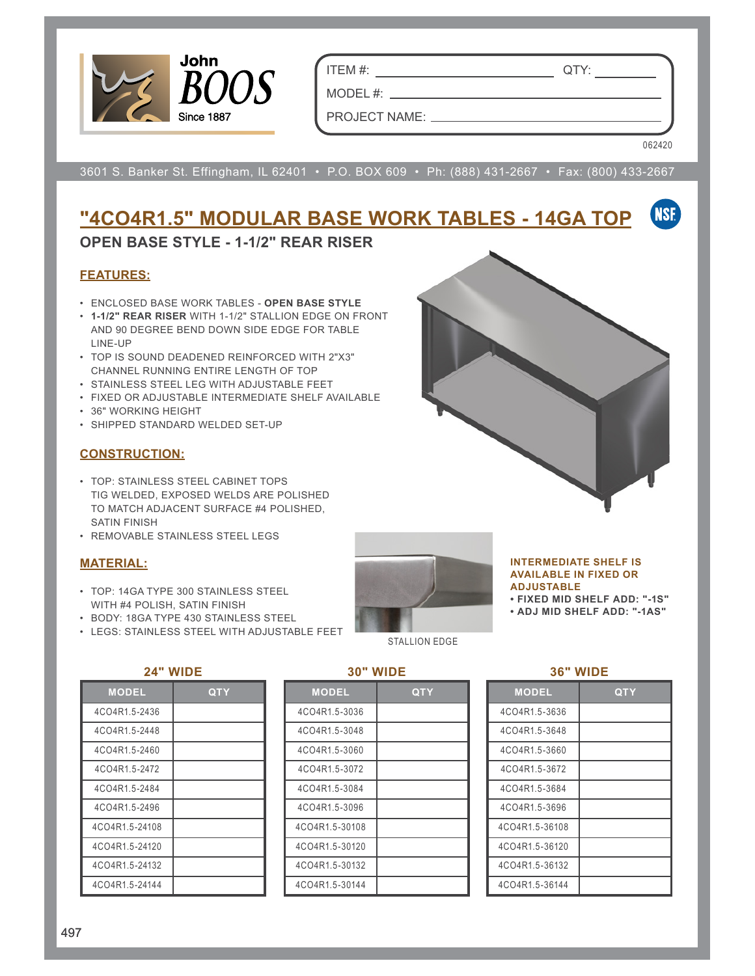

ITEM #: QTY:

MODEL  $#:$   $\_\_$ PROJECT NAME:

062420

3601 S. Banker St. Effingham, IL 62401 • P.O. BOX 609 • Ph: (888) 431-2667 • Fax: (800) 433-2667

#### **NSF "4CO4R1.5" MODULAR BASE WORK TABLES - 14GA TOP**

# **OPEN BASE STYLE - 1-1/2" REAR RISER**

## **FEATURES:**

- ENCLOSED BASE WORK TABLES **OPEN BASE STYLE**
- **1-1/2" REAR RISER** WITH 1-1/2" STALLION EDGE ON FRONT AND 90 DEGREE BEND DOWN SIDE EDGE FOR TABLE LINE-UP
- TOP IS SOUND DEADENED REINFORCED WITH 2"X3" CHANNEL RUNNING ENTIRE LENGTH OF TOP
- STAINLESS STEEL LEG WITH ADJUSTABLE FEET
- FIXED OR ADJUSTABLE INTERMEDIATE SHELF AVAILABLE
- 36" WORKING HEIGHT
- SHIPPED STANDARD WELDED SET-UP

#### **CONSTRUCTION:**

- TOP: STAINLESS STEEL CABINET TOPS TIG WELDED, EXPOSED WELDS ARE POLISHED TO MATCH ADJACENT SURFACE #4 POLISHED, SATIN FINISH
- REMOVABLE STAINLESS STEEL LEGS

## **MATERIAL:**

- TOP: 14GA TYPE 300 STAINLESS STEEL WITH #4 POLISH, SATIN FINISH
- BODY: 18GA TYPE 430 STAINLESS STEEL
- LEGS: STAINLESS STEEL WITH ADJUSTABLE FEET



#### **INTERMEDIATE SHELF IS AVAILABLE IN FIXED OR ADJUSTABLE**

**• FIXED MID SHELF ADD: "-1S"**

**• ADJ MID SHELF ADD: "-1AS"**

#### **24" WIDE**

| <b>MODEL</b>   | QTY |
|----------------|-----|
| 4CO4R1.5-2436  |     |
| 4CO4R1 5-2448  |     |
| 4CO4R1.5-2460  |     |
| 4CO4R1.5-2472  |     |
| 4CO4R1 5-2484  |     |
| 4CO4R1.5-2496  |     |
| 4CO4R1.5-24108 |     |
| 4CO4R1.5-24120 |     |
| 4CO4R1.5-24132 |     |
| 4CO4R1.5-24144 |     |

#### **30" WIDE**

| <b>MODEL</b>   | QTY |
|----------------|-----|
| 4CO4R1.5-3036  |     |
| 4CO4R1.5-3048  |     |
| 4CO4R1.5-3060  |     |
| 4CO4R1.5-3072  |     |
| 4CO4R1.5-3084  |     |
| 4CO4R1.5-3096  |     |
| 4CO4R1.5-30108 |     |
| 4CO4R1.5-30120 |     |
| 4CO4R1.5-30132 |     |
| 4CO4R1.5-30144 |     |

|  | WIDE |  |
|--|------|--|
|  |      |  |

| <b>MODEL</b>   | QTY |
|----------------|-----|
| 4CO4R1.5-3636  |     |
| 4CO4R1.5-3648  |     |
| 4CO4R1.5-3660  |     |
| 4CO4R1.5-3672  |     |
| 4CO4R1 5-3684  |     |
| 4CO4R1 5-3696  |     |
| 4CO4R1.5-36108 |     |
| 4CO4R1.5-36120 |     |
| 4CO4R1.5-36132 |     |
| 4CO4R1.5-36144 |     |